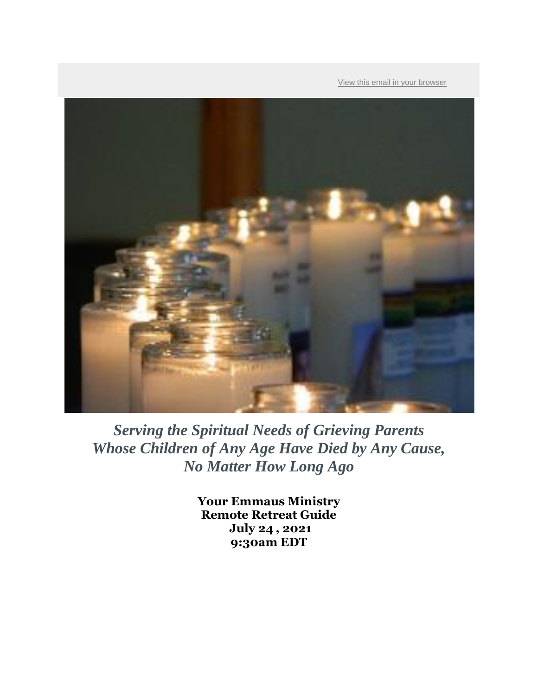[View this email in your browser](https://list-manage.agle1.cc/onlinelink/4581333901312000/5741004535627776/PBXHWo1PHDnoJ?ns=emfgp)



*Serving the Spiritual Needs of Grieving Parents Whose Children of Any Age Have Died by Any Cause, No Matter How Long Ago*

> **Your Emmaus Ministry Remote Retreat Guide July 24 , 2021 9:30am EDT**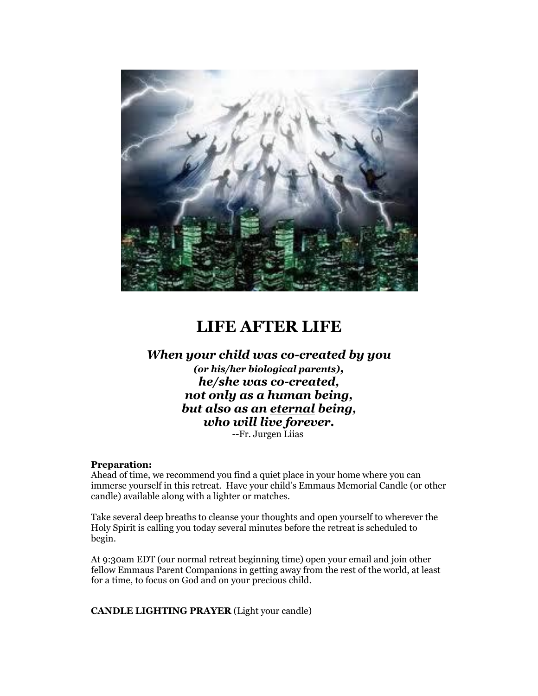

# **LIFE AFTER LIFE**

## *When your child was co-created by you (or his/her biological parents), he/she was co-created, not only as a human being, but also as an eternal being, who will live forever.* --Fr. Jurgen Liias

### **Preparation:**

Ahead of time, we recommend you find a quiet place in your home where you can immerse yourself in this retreat. Have your child's Emmaus Memorial Candle (or other candle) available along with a lighter or matches.

Take several deep breaths to cleanse your thoughts and open yourself to wherever the Holy Spirit is calling you today several minutes before the retreat is scheduled to begin.

At 9:30am EDT (our normal retreat beginning time) open your email and join other fellow Emmaus Parent Companions in getting away from the rest of the world, at least for a time, to focus on God and on your precious child.

**CANDLE LIGHTING PRAYER** (Light your candle)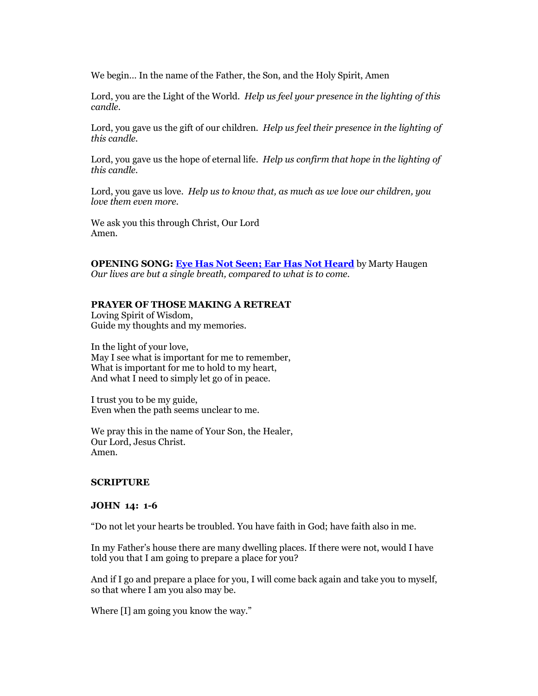We begin… In the name of the Father, the Son, and the Holy Spirit, Amen

Lord, you are the Light of the World. *Help us feel your presence in the lighting of this candle.*

Lord, you gave us the gift of our children. *Help us feel their presence in the lighting of this candle.*

Lord, you gave us the hope of eternal life. *Help us confirm that hope in the lighting of this candle.*

Lord, you gave us love. *Help us to know that, as much as we love our children, you love them even more.*

We ask you this through Christ, Our Lord Amen.

**OPENING SONG: [Eye Has Not Seen; Ear Has Not Heard](https://list-manage.agle1.cc/click?u=https%3A%2F%2Fwww.youtube.com%2Fwatch%3Fv%3DrRyOS0nZr7s%26list%3DRDrRyOS0nZr7s%26start_radio%3D1&c=4581333901312000&s=5741004535627776&ns=emfgp)** by Marty Haugen *Our lives are but a single breath, compared to what is to come.*

#### **PRAYER OF THOSE MAKING A RETREAT**

Loving Spirit of Wisdom, Guide my thoughts and my memories.

In the light of your love, May I see what is important for me to remember, What is important for me to hold to my heart, And what I need to simply let go of in peace.

I trust you to be my guide, Even when the path seems unclear to me.

We pray this in the name of Your Son, the Healer, Our Lord, Jesus Christ. Amen.

#### **SCRIPTURE**

#### **JOHN 14: 1-6**

"Do not let your hearts be troubled. You have faith in God; have faith also in me.

In my Father's house there are many dwelling places. If there were not, would I have told you that I am going to prepare a place for you?

And if I go and prepare a place for you, I will come back again and take you to myself, so that where I am you also may be.

Where [I] am going you know the way."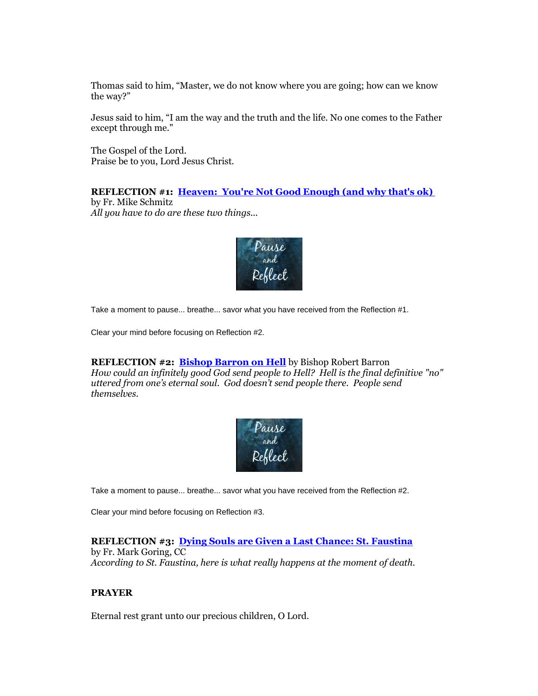Thomas said to him, "Master, we do not know where you are going; how can we know the way?"

Jesus said to him, "I am the way and the truth and the life. No one comes to the Father except through me."

The Gospel of the Lord. Praise be to you, Lord Jesus Christ.

**REFLECTION #1: Heaven: [You're Not Good Enough \(and why that's ok\)](https://list-manage.agle1.cc/click?u=https%3A%2F%2Fwww.youtube.com%2Fwatch%3Fv%3Dchur9r9H2bY&c=4581333901312000&s=5741004535627776&ns=emfgp)** by Fr. Mike Schmitz

*All you have to do are these two things...*



Take a moment to pause... breathe... savor what you have received from the Reflection #1.

Clear your mind before focusing on Reflection #2.

**REFLECTION #2: [Bishop Barron on Hell](https://list-manage.agle1.cc/click?u=https%3A%2F%2Fwww.youtube.com%2Fwatch%3Fv%3Dx8zhnooySk4&c=4581333901312000&s=5741004535627776&ns=emfgp)** by Bishop Robert Barron *How could an infinitely good God send people to Hell? Hell is the final definitive "no" uttered from one's eternal soul. God doesn't send people there. People send themselves.*



Take a moment to pause... breathe... savor what you have received from the Reflection #2.

Clear your mind before focusing on Reflection #3.

### **REFLECTION #3: [Dying Souls are Given a Last Chance: St. Faustina](https://list-manage.agle1.cc/click?u=https%3A%2F%2Fwww.youtube.com%2Fwatch%3Fv%3D-L4BaV9KJ80&c=4581333901312000&s=5741004535627776&ns=emfgp)**

by Fr. Mark Goring, CC *According to St. Faustina, here is what really happens at the moment of death.*

### **PRAYER**

Eternal rest grant unto our precious children, O Lord.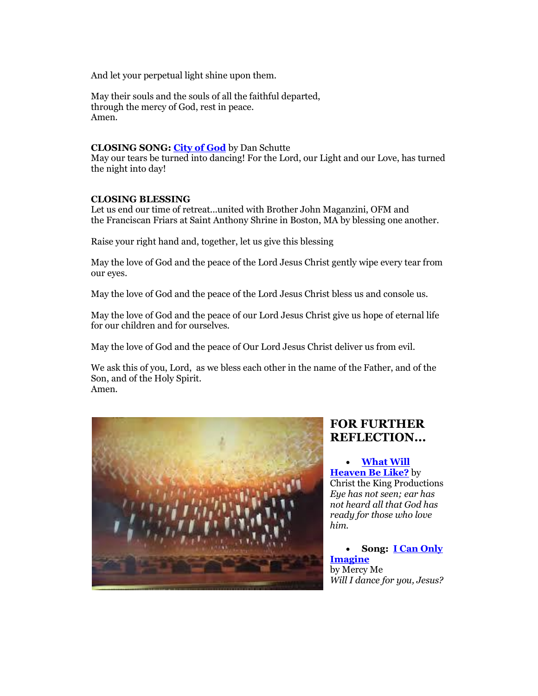And let your perpetual light shine upon them.

May their souls and the souls of all the faithful departed, through the mercy of God, rest in peace. Amen.

#### **CLOSING SONG[: City of God](https://list-manage.agle1.cc/click?u=https%3A%2F%2Fwww.youtube.com%2Fwatch%3Fv%3DKSyu-a8ov7A&c=4581333901312000&s=5741004535627776&ns=emfgp)** by Dan Schutte

May our tears be turned into dancing! For the Lord, our Light and our Love, has turned the night into day!

#### **CLOSING BLESSING**

Let us end our time of retreat...united with Brother John Maganzini, OFM and the Franciscan Friars at Saint Anthony Shrine in Boston, MA by blessing one another.

Raise your right hand and, together, let us give this blessing

May the love of God and the peace of the Lord Jesus Christ gently wipe every tear from our eyes.

May the love of God and the peace of the Lord Jesus Christ bless us and console us.

May the love of God and the peace of our Lord Jesus Christ give us hope of eternal life for our children and for ourselves.

May the love of God and the peace of Our Lord Jesus Christ deliver us from evil.

We ask this of you, Lord, as we bless each other in the name of the Father, and of the Son, and of the Holy Spirit. Amen.



# **FOR FURTHER REFLECTION...**

 **[What Will](https://list-manage.agle1.cc/click?u=https%3A%2F%2Fwww.youtube.com%2Fwatch%3Fv%3DYl7TZ8kECO0&c=4581333901312000&s=5741004535627776&ns=emfgp)  [Heaven Be Like?](https://list-manage.agle1.cc/click?u=https%3A%2F%2Fwww.youtube.com%2Fwatch%3Fv%3DYl7TZ8kECO0&c=4581333901312000&s=5741004535627776&ns=emfgp)** by Christ the King Productions *Eye has not seen; ear has not heard all that God has ready for those who love him.*

 **Song: [I Can Only](https://list-manage.agle1.cc/click?u=https%3A%2F%2Fwww.youtube.com%2Fwatch%3Fv%3DDU0MwNpRq6M&c=4581333901312000&s=5741004535627776&ns=emfgp)  [Imagine](https://list-manage.agle1.cc/click?u=https%3A%2F%2Fwww.youtube.com%2Fwatch%3Fv%3DDU0MwNpRq6M&c=4581333901312000&s=5741004535627776&ns=emfgp)** by Mercy Me *Will I dance for you, Jesus?*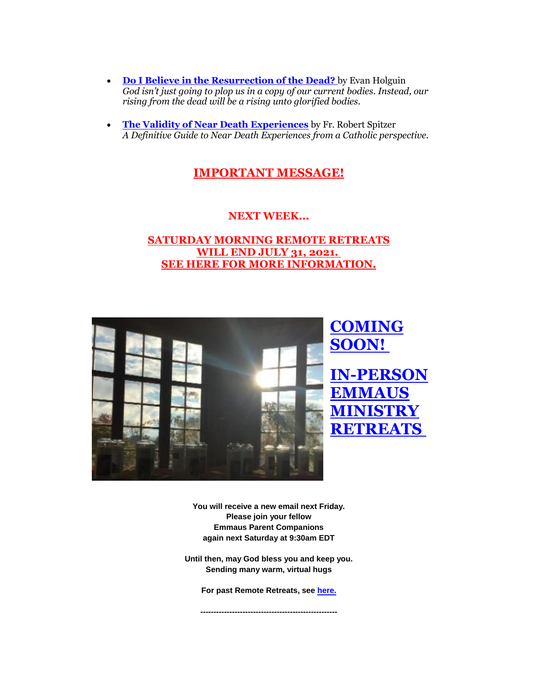- **[Do I Believe in the Resurrection of the Dead?](https://list-manage.agle1.cc/click?u=https%3A%2F%2Faleteia.org%2F2017%2F06%2F05%2Fdo-i-believe-in-the-resurrection-of-the-dead%2F&c=4581333901312000&s=5741004535627776&ns=emfgp)** by Evan Holguin *God isn't just going to plop us in a copy of our current bodies. Instead, our rising from the dead will be a rising unto glorified bodies*.
- **[The Validity of Near Death Experiences](https://list-manage.agle1.cc/click?u=https%3A%2F%2Fmagiscenter.com%2FNDE%2F&c=4581333901312000&s=5741004535627776&ns=emfgp)** by Fr. Robert Spitzer *A Definitive Guide to Near Death Experiences from a Catholic perspective.*

# **[IMPORTANT MESSAGE!](https://list-manage.agle1.cc/click?u=https%3A%2F%2Fcdn.emfgp.org%2Fwp-content%2Fuploads%2F2021%2F06%2FSaturday-Remote-Retreat-Message.docx.pdf&c=4581333901312000&s=5741004535627776&ns=emfgp)**

## **NEXT WEEK...**

## **[SATURDAY MORNING REMOTE RETREATS](https://list-manage.agle1.cc/click?u=https%3A%2F%2Fcdn.emfgp.org%2Fwp-content%2Fuploads%2F2021%2F06%2FSaturday-Remote-Retreat-Message.docx.pdf&c=4581333901312000&s=5741004535627776&ns=emfgp)  [WILL END JULY 31, 2021.](https://list-manage.agle1.cc/click?u=https%3A%2F%2Fcdn.emfgp.org%2Fwp-content%2Fuploads%2F2021%2F06%2FSaturday-Remote-Retreat-Message.docx.pdf&c=4581333901312000&s=5741004535627776&ns=emfgp) [SEE HERE FOR MORE INFORMATION.](https://list-manage.agle1.cc/click?u=https%3A%2F%2Fcdn.emfgp.org%2Fwp-content%2Fuploads%2F2021%2F06%2FSaturday-Remote-Retreat-Message.docx.pdf&c=4581333901312000&s=5741004535627776&ns=emfgp)**



**You will receive a new email next Friday. Please join your fellow Emmaus Parent Companions again next Saturday at 9:30am EDT**

**Until then, may God bless you and keep you. Sending many warm, virtual hugs**

**For past Remote Retreats, see [here.](https://list-manage.agle1.cc/click?u=https%3A%2F%2Fwww.emfgp.org%2Femmaus-ministry-saturday-remote-retreat-guides%2F&c=4581333901312000&s=5741004535627776&ns=emfgp)**

**----------------------------------------------------**